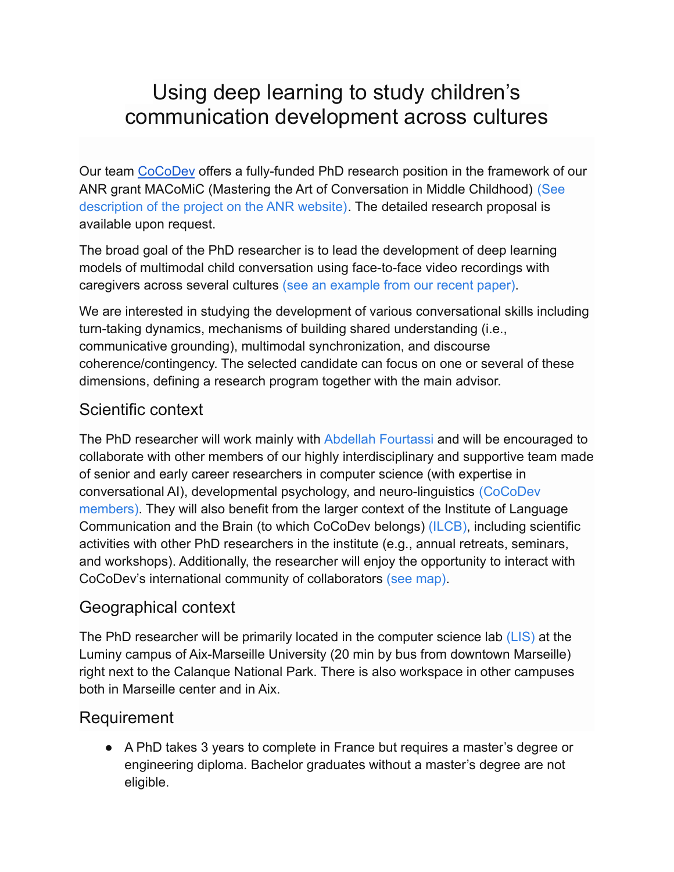# Using deep learning to study children's communication development across cultures

Our team [CoCoDev](http://cocodev.fr) offers a fully-funded PhD research position in the framework of our ANR grant MACoMiC (Mastering the Art of Conversation in Middle Childhood) [\(See](https://anr.fr/Project-ANR-21-CE28-0005) [description of the project on the ANR website\)](https://anr.fr/Project-ANR-21-CE28-0005). The detailed research proposal is available upon request.

The broad goal of the PhD researcher is to lead the development of deep learning models of multimodal child conversation using face-to-face video recordings with caregivers across several cultures (see an example [from our recent paper\)](https://dl.acm.org/doi/abs/10.1145/3461615.3485399).

We are interested in studying the development of various conversational skills including turn-taking dynamics, mechanisms of building shared understanding (i.e., communicative grounding), multimodal synchronization, and discourse coherence/contingency. The selected candidate can focus on one or several of these dimensions, defining a research program together with the main advisor.

## Scientific context

The PhD researcher will work mainly with Abdellah [Fourtassi](https://cocodev1.gitlab.io/website/CV/fourtassi_cv.pdf) and will be encouraged to collaborate with other members of our highly interdisciplinary and supportive team made of senior and early career researchers in computer science (with expertise in conversational AI), developmental psychology, and neuro-linguistics [\(CoCoDev](https://cocodev1.gitlab.io/website/members/) [members\)](https://cocodev1.gitlab.io/website/members/). They will also benefit from the larger context of the Institute of Language Communication and the Brain (to which CoCoDev belongs) [\(ILCB\)](https://www.ilcb.fr/), including scientific activities with other PhD researchers in the institute (e.g., annual retreats, seminars, and workshops). Additionally, the researcher will enjoy the opportunity to interact with CoCoDev's international community of collaborators [\(see map\)](https://cocodev1.gitlab.io/website/network/).

### Geographical context

The PhD researcher will be primarily located in the computer science lab [\(LIS\)](https://www.lis-lab.fr/en/about/) at the Luminy campus of Aix-Marseille University (20 min by bus from downtown Marseille) right next to the Calanque National Park. There is also workspace in other campuses both in Marseille center and in Aix.

### Requirement

● A PhD takes 3 years to complete in France but requires a master's degree or engineering diploma. Bachelor graduates without a master's degree are not eligible.